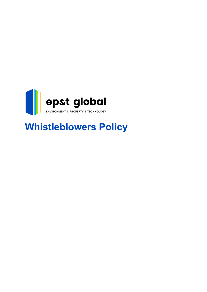

# **Whistleblowers Policy**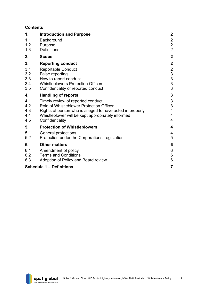# **Contents**

| 1.                              | <b>Introduction and Purpose</b>                          | $\boldsymbol{2}$                           |
|---------------------------------|----------------------------------------------------------|--------------------------------------------|
| 1.1                             | Background                                               |                                            |
| 1.2                             | Purpose                                                  | $\begin{array}{c} 2 \\ 2 \\ 2 \end{array}$ |
| 1.3                             | <b>Definitions</b>                                       |                                            |
| 2.                              | <b>Scope</b>                                             | $\mathbf{2}$                               |
| 3.                              | <b>Reporting conduct</b>                                 | $\mathbf{2}$                               |
| 3.1                             | <b>Reportable Conduct</b>                                |                                            |
| 3.2                             | False reporting                                          |                                            |
| 3.3                             | How to report conduct                                    | $\begin{array}{c}\n23 \\ 33\n\end{array}$  |
| 3.4                             | <b>Whistleblowers Protection Officers</b>                |                                            |
| 3.5                             | Confidentiality of reported conduct                      | 3                                          |
| 4.                              | <b>Handling of reports</b>                               | 3                                          |
| 4.1                             | Timely review of reported conduct                        | $\mathfrak{S}$                             |
| 4.2                             | Role of Whistleblower Protection Officer                 | 3                                          |
| 4.3                             | Rights of person who is alleged to have acted improperly | $\overline{\mathbf{4}}$                    |
| 4.4                             | Whistleblower will be kept appropriately informed        | $\overline{4}$                             |
| 4.5                             | Confidentiality                                          | $\overline{4}$                             |
| 5.                              | <b>Protection of Whistleblowers</b>                      | $\overline{\mathbf{4}}$                    |
| 5.1                             | General protections                                      | $\overline{4}$                             |
| 5.2                             | Protection under the Corporations Legislation            | 5                                          |
| 6.                              | <b>Other matters</b>                                     | $6\phantom{1}6$                            |
| 6.1                             | Amendment of policy                                      | $6\phantom{1}6$                            |
| 6.2                             | <b>Terms and Conditions</b>                              | $\boldsymbol{6}$                           |
| 6.3                             | Adoption of Policy and Board review                      | $6\phantom{1}6$                            |
| <b>Schedule 1 - Definitions</b> |                                                          | $\overline{7}$                             |

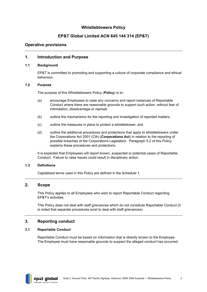# **Whistleblowers Policy**

# **EP&T Global Limited ACN 645 144 314 (EP&T)**

## **Operative provisions**

## <span id="page-2-0"></span>**1. Introduction and Purpose**

#### <span id="page-2-1"></span>**1.1 Background**

EP&T is committed to promoting and supporting a culture of corporate compliance and ethical behaviour.

#### <span id="page-2-2"></span>**1.2 Purpose**

The purpose of this Whistleblowers Policy (**Policy**) is to:

- (a) encourage Employees to raise any concerns and report instances of Reportable Conduct where there are reasonable grounds to support such action, without fear of intimidation, disadvantage or reprisal;
- (b) outline the mechanisms for the reporting and investigation of reported matters;
- (c) outline the measures in place to protect a whistleblower; and
- (d) outline the additional procedures and protections that apply to whistleblowers under the Corporations Act 2001 (Cth) (**Corporations Act**) in relation to the reporting of possible breaches of the Corporations Legislation. Paragraph [5.2](#page-5-0) of this Policy explains these procedures and protections.

It is expected that Employees will report known, suspected or potential cases of Reportable Conduct. Failure to raise issues could result in disciplinary action.

## <span id="page-2-3"></span>**1.3 Definitions**

Capitalised terms used in this Policy are defined in the [Schedule 1.](#page-7-0)

## <span id="page-2-4"></span>**2. Scope**

This Policy applies to all Employees who wish to report Reportable Conduct regarding EP&T's activities.

This Policy does not deal with staff grievances which do not constitute Reportable Conduct (it is noted that separate procedures exist to deal with staff grievances).

## <span id="page-2-5"></span>**3. Reporting conduct**

## <span id="page-2-6"></span>**3.1 Reportable Conduct**

Reportable Conduct must be based on information that is directly known to the Employee. The Employee must have reasonable grounds to suspect the alleged conduct has occurred.

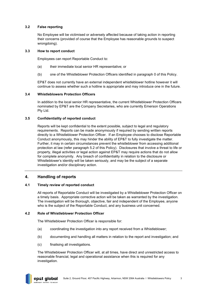## <span id="page-3-0"></span>**3.2 False reporting**

No Employee will be victimised or adversely affected because of taking action in reporting their concerns (provided of course that the Employee has reasonable grounds to suspect wrongdoing).

### <span id="page-3-1"></span>**3.3 How to report conduct**

Employees can report Reportable Conduct to:

- (a) their immediate local senior HR representative; or
- (b) one of the Whistleblower Protection Officers identified in paragraph [0](#page-3-7) of this Policy.

EP&T does not currently have an external independent whistleblower hotline however it will continue to assess whether such a hotline is appropriate and may introduce one in the future.

## <span id="page-3-7"></span><span id="page-3-2"></span>**3.4 Whistleblowers Protection Officers**

In addition to the local senior HR representative, the current Whistleblower Protection Officers nominated by EP&T are the Company Secretaries, who are currently Emerson Operations Pty Ltd.

## <span id="page-3-3"></span>**3.5 Confidentiality of reported conduct**

Reports will be kept confidential to the extent possible, subject to legal and regulatory requirements. Reports can be made anonymously if required by sending written reports directly to a Whistleblower Protection Officer. If an Employee chooses to disclose Reportable Conduct anonymously, this may hinder the ability of EP&T to fully investigate the matter. Further, it may in certain circumstances prevent the whistleblower from accessing additional protection at law (refer paragraph [5.2](#page-5-0) of this Policy). Disclosures that involve a threat to life or property, illegal activities or legal action against EP&T may require actions that do not allow for complete anonymity. Any breach of confidentiality in relation to the disclosure or Whistleblower's identity will be taken seriously, and may be the subject of a separate investigation and/or disciplinary action.

## <span id="page-3-4"></span>**4. Handling of reports**

## <span id="page-3-5"></span>**4.1 Timely review of reported conduct**

All reports of Reportable Conduct will be investigated by a Whistleblower Protection Officer on a timely basis. Appropriate corrective action will be taken as warranted by the investigation. The investigation will be thorough, objective, fair and independent of the Employee, anyone who is the subject of the Reportable Conduct, and any business unit concerned.

## <span id="page-3-6"></span>**4.2 Role of Whistleblower Protection Officer**

The Whistleblower Protection Officer is responsible for:

- (a) coordinating the investigation into any report received from a Whistleblower;
- (b) documenting and handling all matters in relation to the report and investigation; and
- (c) finalising all investigations.

The Whistleblower Protection Officer will, at all times, have direct and unrestricted access to reasonable financial, legal and operational assistance when this is required for any investigation.

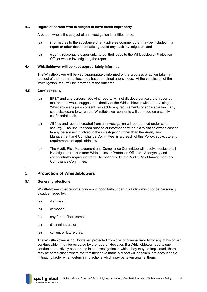### <span id="page-4-0"></span>**4.3 Rights of person who is alleged to have acted improperly**

A person who is the subject of an investigation is entitled to be:

- (a) informed as to the substance of any adverse comment that may be included in a report or other document arising out of any such investigation; and
- (b) given a reasonable opportunity to put their case to the Whistleblower Protection Officer who is investigating the report.

#### <span id="page-4-1"></span>**4.4 Whistleblower will be kept appropriately informed**

The Whistleblower will be kept appropriately informed of the progress of action taken in respect of their report, unless they have remained anonymous. At the conclusion of the investigation, they will be informed of the outcome.

#### <span id="page-4-2"></span>**4.5 Confidentiality**

- (a) EP&T and any persons receiving reports will not disclose particulars of reported matters that would suggest the identity of the Whistleblower without obtaining the Whistleblower's prior consent, subject to any requirements of applicable law. Any such disclosure to which the Whistleblower consents will be made on a strictly confidential basis.
- (b) All files and records created from an investigation will be retained under strict security. The unauthorised release of information without a Whistleblower's consent to any person not involved in the investigation (other than the Audit, Risk Management and Compliance Committee) is a breach of this Policy, subject to any requirements of applicable law.
- (c) The Audit, Risk Management and Compliance Committee will receive copies of all investigation reports from Whistleblower Protection Officers. Anonymity and confidentiality requirements will be observed by the Audit, Risk Management and Compliance Committee.

## <span id="page-4-3"></span>**5. Protection of Whistleblowers**

#### <span id="page-4-4"></span>**5.1 General protections**

Whistleblowers that report a concern in good faith under this Policy must not be personally disadvantaged by:

- (a) dismissal;
- (b) demotion;
- (c) any form of harassment;
- (d) discrimination; or
- (e) current or future bias.

The Whistleblower is not, however, protected from civil or criminal liability for any of his or her conduct which may be revealed by the report. However, if a Whistleblower reports such conduct and actively cooperates in an investigation in which they may be implicated, there may be some cases where the fact they have made a report will be taken into account as a mitigating factor when determining actions which may be taken against them.

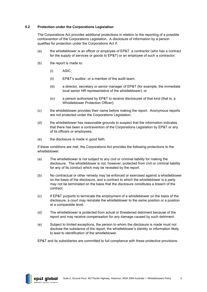## <span id="page-5-0"></span>**5.2 Protection under the Corporations Legislation**

The Corporations Act provides additional protections in relation to the reporting of a possible contravention of the Corporations Legislation. A disclosure of information by a person qualifies for protection under the Corporations Act if:

- (a) the whistleblower is an officer or employee of EP&T, a contractor (who has a contract for the supply of services or goods to EP&T) or an employee of such a contractor;
- (b) the report is made to:
	- (i) ASIC;
	- (ii) EP&T's auditor, or a member of the audit team;
	- (iii) a director, secretary or senior manager of EP&T (for example, the immediate local senior HR representative of the whistleblower); or
	- (iv) a person authorised by EP&T to receive disclosures of that kind (that is, a Whistleblower Protection Officer);
- (c) the whistleblower provides their name before making the report. Anonymous reports are not protected under the Corporations Legislation;
- (d) the whistleblower has reasonable grounds to suspect that the information indicates that there has been a contravention of the Corporations Legislation by EP&T or any of its officers or employees;
- (e) the disclosure is made in good faith.

If these conditions are met, the Corporations Act provides the following protections to the whistleblower:

- (a) The whistleblower is not subject to any civil or criminal liability for making the disclosure. The whistleblower is not, however, protected from civil or criminal liability for any of its conduct which may be revealed by the report.
- (b) No contractual or other remedy may be enforced or exercised against a whistleblower on the basis of the disclosure, and a contract to which the whistleblower is a party may not be terminated on the basis that the disclosure constitutes a breach of the contract.
- (c) If EP&T purports to terminate the employment of a whistleblower on the basis of the disclosure, a court may reinstate the whistleblower to the same position or a position at a comparable level.
- (d) The whistleblower is protected from actual or threatened detriment because of the report and may receive compensation for any damage caused by such detriment.
- (e) Subject to limited exceptions, the person to whom the disclosure is made must not disclose the substance of the report, the whistleblower's identity or information likely to lead to identification of the whistleblower.

EP&T and its subsidiaries are committed to full compliance with these protective provisions.

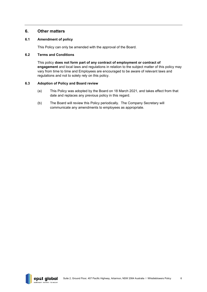# <span id="page-6-0"></span>**6. Other matters**

## <span id="page-6-1"></span>**6.1 Amendment of policy**

This Policy can only be amended with the approval of the Board.

#### <span id="page-6-2"></span>**6.2 Terms and Conditions**

This policy **does not form part of any contract of employment or contract of engagement** and local laws and regulations in relation to the subject matter of this policy may vary from time to time and Employees are encouraged to be aware of relevant laws and regulations and not to solely rely on this policy.

#### <span id="page-6-3"></span>**6.3 Adoption of Policy and Board review**

- (a) This Policy was adopted by the Board on 18 March 2021, and takes effect from that date and replaces any previous policy in this regard.
- (b) The Board will review this Policy periodically. The Company Secretary will communicate any amendments to employees as appropriate.